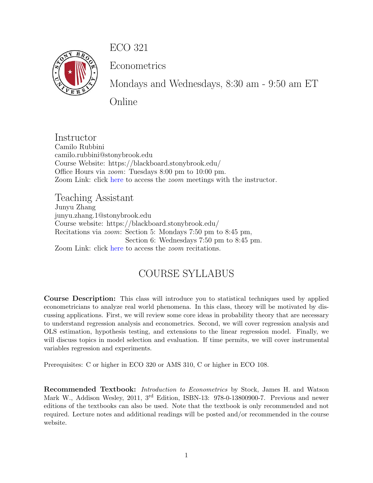ECO 321



Econometrics

Mondays and Wednesdays, 8:30 am - 9:50 am ET

Online

Instructor Camilo Rubbini camilo.rubbini@stonybrook.edu Course Website: https://blackboard.stonybrook.edu/ Office Hours via zoom: Tuesdays 8:00 pm to 10:00 pm. Zoom Link: click [here](https://stonybrook.zoom.us/j/95594266758?pwd=S3lBYlRqVDFHL3dXZS9BY216aEJGUT09) to access the *zoom* meetings with the instructor.

Teaching Assistant Junyu Zhang junyu.zhang.1@stonybrook.edu Course website: https://blackboard.stonybrook.edu/ Recitations via zoom: Section 5: Mondays 7:50 pm to 8:45 pm, Section 6: Wednesdays 7:50 pm to 8:45 pm. Zoom Link: click [here](https://stonybrook.zoom.us/j/8505978111?pwd=Nm1ndE5jRDl1dm05My96VTVoWkNYQT09) to access the *zoom* recitations.

# COURSE SYLLABUS

Course Description: This class will introduce you to statistical techniques used by applied econometricians to analyze real world phenomena. In this class, theory will be motivated by discussing applications. First, we will review some core ideas in probability theory that are necessary to understand regression analysis and econometrics. Second, we will cover regression analysis and OLS estimation, hypothesis testing, and extensions to the linear regression model. Finally, we will discuss topics in model selection and evaluation. If time permits, we will cover instrumental variables regression and experiments.

Prerequisites: C or higher in ECO 320 or AMS 310, C or higher in ECO 108.

Recommended Textbook: Introduction to Econometrics by Stock, James H. and Watson Mark W., Addison Wesley, 2011, 3<sup>rd</sup> Edition, ISBN-13: 978-0-13800900-7. Previous and newer editions of the textbooks can also be used. Note that the textbook is only recommended and not required. Lecture notes and additional readings will be posted and/or recommended in the course website.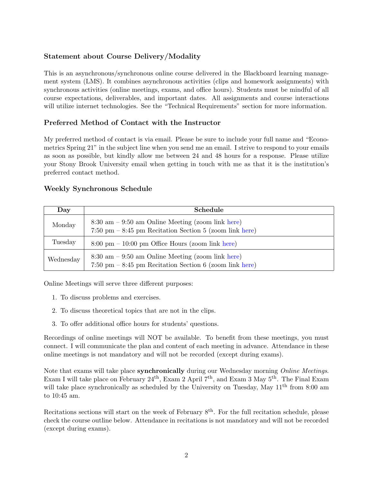# Statement about Course Delivery/Modality

This is an asynchronous/synchronous online course delivered in the Blackboard learning management system (LMS). It combines asynchronous activities (clips and homework assignments) with synchronous activities (online meetings, exams, and office hours). Students must be mindful of all course expectations, deliverables, and important dates. All assignments and course interactions will utilize internet technologies. See the "Technical Requirements" section for more information.

## Preferred Method of Contact with the Instructor

My preferred method of contact is via email. Please be sure to include your full name and "Econometrics Spring 21" in the subject line when you send me an email. I strive to respond to your emails as soon as possible, but kindly allow me between 24 and 48 hours for a response. Please utilize your Stony Brook University email when getting in touch with me as that it is the institution's preferred contact method.

## Weekly Synchronous Schedule

| Day       | <b>Schedule</b>                                                                                                                                  |
|-----------|--------------------------------------------------------------------------------------------------------------------------------------------------|
| Monday    | $8:30 \text{ am} - 9:50 \text{ am Online Meeting (zoom link here)}$<br>$7:50 \text{ pm} - 8:45 \text{ pm}$ Recitation Section 5 (zoom link here) |
| Tuesday   | $8:00 \text{ pm} - 10:00 \text{ pm}$ Office Hours (zoom link here)                                                                               |
| Wednesday | $8:30 \text{ am} - 9:50 \text{ am Online Meeting (zoom link here)}$<br>$7:50 \text{ pm} - 8:45 \text{ pm}$ Recitation Section 6 (zoom link here) |

Online Meetings will serve three different purposes:

- 1. To discuss problems and exercises.
- 2. To discuss theoretical topics that are not in the clips.
- 3. To offer additional office hours for students' questions.

Recordings of online meetings will NOT be available. To benefit from these meetings, you must connect. I will communicate the plan and content of each meeting in advance. Attendance in these online meetings is not mandatory and will not be recorded (except during exams).

Note that exams will take place synchronically during our Wednesday morning Online Meetings. Exam I will take place on February 24<sup>th</sup>, Exam 2 April 7<sup>th</sup>, and Exam 3 May 5<sup>th</sup>. The Final Exam will take place synchronically as scheduled by the University on Tuesday, May  $11<sup>th</sup>$  from 8:00 am to 10:45 am.

Recitations sections will start on the week of February  $8<sup>th</sup>$ . For the full recitation schedule, please check the course outline below. Attendance in recitations is not mandatory and will not be recorded (except during exams).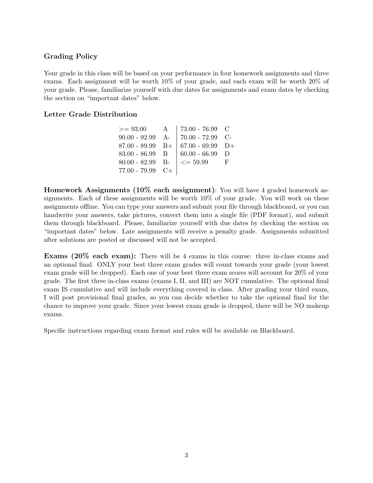#### Grading Policy

Your grade in this class will be based on your performance in four homework assignments and three exams. Each assignment will be worth 10% of your grade, and each exam will be worth 20% of your grade. Please, familiarize yourself with due dates for assignments and exam dates by checking the section on "important dates" below.

#### Letter Grade Distribution

| $>= 93.00$         | $\mathbf{A}$ | 73.00 - 76.99 $\,$ C          |   |
|--------------------|--------------|-------------------------------|---|
| 90.00 - 92.99 A-   |              | $ 70.00 - 72.99$ C-           |   |
| $87.00 - 89.99$ B+ |              | $  67.00 - 69.99 \text{ D+}$  |   |
| $83.00 - 86.99$ B  |              | $60.00 - 66.99$ D             |   |
| $80.00 - 82.99$ B- |              | $\vert \langle = 59.99 \vert$ | F |
| $77.00 - 79.99$ C+ |              |                               |   |
|                    |              |                               |   |

Homework Assignments (10% each assignment): You will have 4 graded homework assignments. Each of these assignments will be worth 10% of your grade. You will work on these assignments offline. You can type your answers and submit your file through blackboard, or you can handwrite your answers, take pictures, convert them into a single file (PDF format), and submit them through blackboard. Please, familiarize yourself with due dates by checking the section on "important dates" below. Late assignments will receive a penalty grade. Assignments submitted after solutions are posted or discussed will not be accepted.

Exams (20% each exam): There will be 4 exams in this course: three in-class exams and an optional final. ONLY your best three exam grades will count towards your grade (your lowest exam grade will be dropped). Each one of your best three exam scores will account for 20% of your grade. The first three in-class exams (exams I, II, and III) are NOT cumulative. The optional final exam IS cumulative and will include everything covered in class. After grading your third exam, I will post provisional final grades, so you can decide whether to take the optional final for the chance to improve your grade. Since your lowest exam grade is dropped, there will be NO makeup exams.

Specific instructions regarding exam format and rules will be available on Blackboard.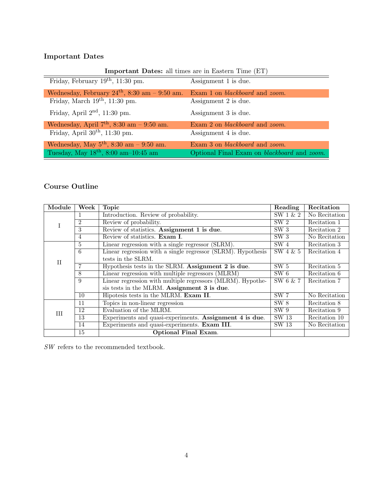# Important Dates

## Important Dates: all times are in Eastern Time (ET)

| Friday, February $19th$ , 11:30 pm.                                                       | Assignment 1 is due.                          |
|-------------------------------------------------------------------------------------------|-----------------------------------------------|
| Wednesday, February $24th$ , 8:30 am - 9:50 am.                                           | Exam 1 on <i>blackboard</i> and <i>zoom</i> . |
| Friday, March $19^{th}$ , $11:30$ pm.                                                     | Assignment 2 is due.                          |
| Friday, April $2nd$ , 11:30 pm.                                                           | Assignment 3 is due.                          |
| Wednesday, April $7th$ , 8:30 am - 9:50 am.                                               | Exam 2 on <i>blackboard</i> and <i>zoom</i> . |
|                                                                                           |                                               |
| Friday, April $30th$ , 11:30 pm.                                                          | Assignment 4 is due.                          |
| Wednesday, May $5^{th}$ , 8:30 am - 9:50 am.<br>Tuesday, May $18^{th}$ , 8:00 am-10:45 am | Exam 3 on <i>blackboard</i> and <i>zoom</i> . |

# Course Outline

| Module | Week                     | Topic                                                        | Reading         | Recitation    |
|--------|--------------------------|--------------------------------------------------------------|-----------------|---------------|
|        |                          | Introduction. Review of probability.                         | SW 1 & 2        | No Recitation |
|        | $\overline{2}$           | Review of probability.                                       | SW <sub>2</sub> | Recitation 1  |
|        | $\overline{\mathcal{E}}$ | Review of statistics. Assignment 1 is due.                   | SW <sub>3</sub> | Recitation 2  |
|        | $\overline{4}$           | Review of statistics. Exam I.                                | SW <sub>3</sub> | No Recitation |
| Ħ      | $\overline{5}$           | Linear regression with a single regressor (SLRM).            | SW <sub>4</sub> | Recitation 3  |
|        | 6                        | Linear regression with a single regressor (SLRM). Hypothesis | $SW$ 4 $\&$ 5   | Recitation 4  |
|        |                          | tests in the SLRM.                                           |                 |               |
|        |                          | Hypothesis tests in the SLRM. Assignment 2 is due.           | SW <sub>5</sub> | Recitation 5  |
|        | 8                        | Linear regression with multiple regressors (MLRM)            | SW 6            | Recitation 6  |
|        | 9                        | Linear regression with multiple regressors (MLRM). Hypothe-  | SW 6 & 7        | Recitation 7  |
|        |                          | sis tests in the MLRM. Assignment 3 is due.                  |                 |               |
|        | 10                       | Hipotesis tests in the MLRM. Exam II.                        | SW <sub>7</sub> | No Recitation |
| Ш      | 11                       | Topics in non-linear regression                              | SW 8            | Recitation 8  |
|        | 12                       | Evaluation of the MLRM.                                      | SW 9            | Recitation 9  |
|        | 13                       | Experiments and quasi-experiments. Assignment 4 is due.      | SW 13           | Recitation 10 |
|        | 14                       | Experiments and quasi-experiments. Exam III.                 | SW 13           | No Recitation |
|        | 15                       | <b>Optional Final Exam.</b>                                  |                 |               |

 $\cal{SW}$  refers to the recommended textbook.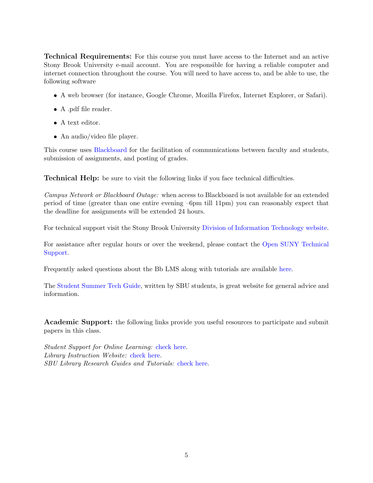Technical Requirements: For this course you must have access to the Internet and an active Stony Brook University e-mail account. You are responsible for having a reliable computer and internet connection throughout the course. You will need to have access to, and be able to use, the following software

- A web browser (for instance, Google Chrome, Mozilla Firefox, Internet Explorer, or Safari).
- A .pdf file reader.
- $\bullet$  A text editor.
- An audio/video file player.

This course uses [Blackboard](https://blackboard.stonybrook.edu) for the facilitation of communications between faculty and students, submission of assignments, and posting of grades.

Technical Help: be sure to visit the following links if you face technical difficulties.

Campus Network or Blackboard Outage: when access to Blackboard is not available for an extended period of time (greater than one entire evening –6pm till 11pm) you can reasonably expect that the deadline for assignments will be extended 24 hours.

For technical support visit the Stony Brook University [Division of Information Technology website.](https://it.stonybrook.edu/services/client-support-service-center)

For assistance after regular hours or over the weekend, please contact the [Open SUNY Technical](https://online.suny.edu/help/) [Support.](https://online.suny.edu/help/)

Frequently asked questions about the Bb LMS along with tutorials are available [here.](https://it.stonybrook.edu/services/blackboard/students)

The [Student Summer Tech Guide,](https://sites.google.com/stonybrook.edu/keeplearning) written by SBU students, is great website for general advice and information.

Academic Support: the following links provide you useful resources to participate and submit papers in this class.

Student Support for Online Learning: [check here.](http://www.stonybrook.edu/commcms/onlineed/student.html) Library Instruction Website: [check here.](http://library.stonybrook.edu/workshops-this-week-citation-skills-worldcat-and-endnote-the-hsc/) SBU Library Research Guides and Tutorials: [check here.](http://library.stonybrook.edu/research/research-basics/)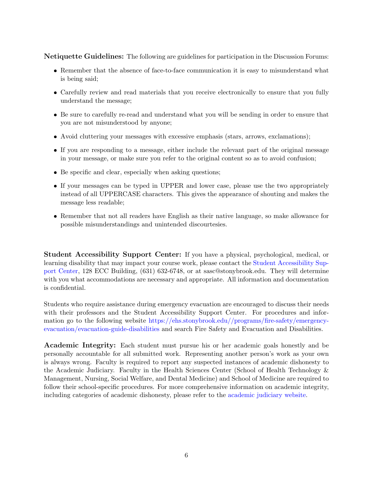Netiquette Guidelines: The following are guidelines for participation in the Discussion Forums:

- Remember that the absence of face-to-face communication it is easy to misunderstand what is being said;
- Carefully review and read materials that you receive electronically to ensure that you fully understand the message;
- Be sure to carefully re-read and understand what you will be sending in order to ensure that you are not misunderstood by anyone;
- Avoid cluttering your messages with excessive emphasis (stars, arrows, exclamations);
- If you are responding to a message, either include the relevant part of the original message in your message, or make sure you refer to the original content so as to avoid confusion;
- Be specific and clear, especially when asking questions;
- If your messages can be typed in UPPER and lower case, please use the two appropriately instead of all UPPERCASE characters. This gives the appearance of shouting and makes the message less readable;
- Remember that not all readers have English as their native language, so make allowance for possible misunderstandings and unintended discourtesies.

Student Accessibility Support Center: If you have a physical, psychological, medical, or learning disability that may impact your course work, please contact the [Student Accessibility Sup](http://www.stonybrook.edu/commcms/studentaffairs/dss/ )[port Center,](http://www.stonybrook.edu/commcms/studentaffairs/dss/ ) 128 ECC Building, (631) 632-6748, or at sasc@stonybrook.edu. They will determine with you what accommodations are necessary and appropriate. All information and documentation is confidential.

Students who require assistance during emergency evacuation are encouraged to discuss their needs with their professors and the Student Accessibility Support Center. For procedures and information go to the following website [https://ehs.stonybrook.edu//programs/fire-safety/emergency](https://ehs.stonybrook.edu//programs/fire-safety/emergency-evacuation/evacuation-guide-disabilities)[evacuation/evacuation-guide-disabilities](https://ehs.stonybrook.edu//programs/fire-safety/emergency-evacuation/evacuation-guide-disabilities) and search Fire Safety and Evacuation and Disabilities.

Academic Integrity: Each student must pursue his or her academic goals honestly and be personally accountable for all submitted work. Representing another person's work as your own is always wrong. Faculty is required to report any suspected instances of academic dishonesty to the Academic Judiciary. Faculty in the Health Sciences Center (School of Health Technology & Management, Nursing, Social Welfare, and Dental Medicine) and School of Medicine are required to follow their school-specific procedures. For more comprehensive information on academic integrity, including categories of academic dishonesty, please refer to the [academic judiciary website.](http://www.stonybrook.edu/commcms/academic_integrity/index.html)